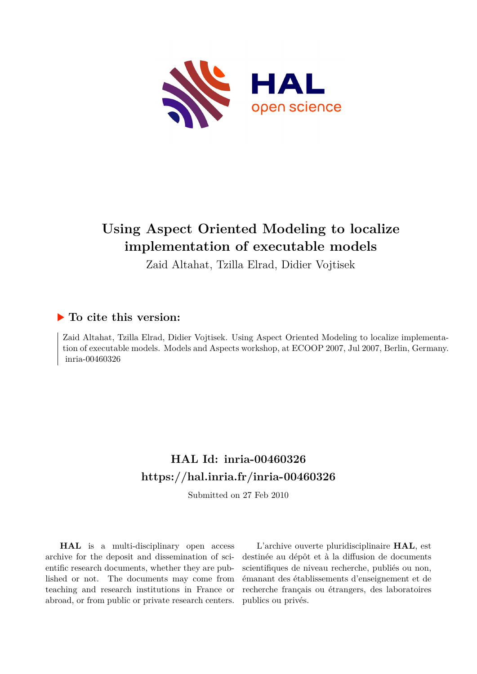

## **Using Aspect Oriented Modeling to localize implementation of executable models**

Zaid Altahat, Tzilla Elrad, Didier Vojtisek

### **To cite this version:**

Zaid Altahat, Tzilla Elrad, Didier Vojtisek. Using Aspect Oriented Modeling to localize implementation of executable models. Models and Aspects workshop, at ECOOP 2007, Jul 2007, Berlin, Germany. inria-00460326

## **HAL Id: inria-00460326 <https://hal.inria.fr/inria-00460326>**

Submitted on 27 Feb 2010

**HAL** is a multi-disciplinary open access archive for the deposit and dissemination of scientific research documents, whether they are published or not. The documents may come from teaching and research institutions in France or abroad, or from public or private research centers.

L'archive ouverte pluridisciplinaire **HAL**, est destinée au dépôt et à la diffusion de documents scientifiques de niveau recherche, publiés ou non, émanant des établissements d'enseignement et de recherche français ou étrangers, des laboratoires publics ou privés.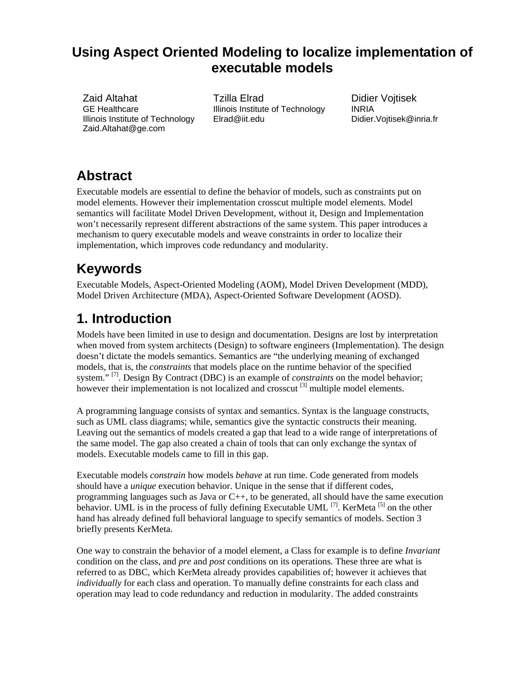### **Using Aspect Oriented Modeling to localize implementation of executable models**

Zaid Altahat GE Healthcare Illinois Institute of Technology Zaid.Altahat@ge.com

Tzilla Elrad Illinois Institute of Technology Elrad@iit.edu

Didier Vojtisek INRIA Didier.Vojtisek@inria.fr

## **Abstract**

Executable models are essential to define the behavior of models, such as constraints put on model elements. However their implementation crosscut multiple model elements. Model semantics will facilitate Model Driven Development, without it, Design and Implementation won't necessarily represent different abstractions of the same system. This paper introduces a mechanism to query executable models and weave constraints in order to localize their implementation, which improves code redundancy and modularity.

# **Keywords**

Executable Models, Aspect-Oriented Modeling (AOM), Model Driven Development (MDD), Model Driven Architecture (MDA), Aspect-Oriented Software Development (AOSD).

## **1. Introduction**

Models have been limited in use to design and documentation. Designs are lost by interpretation when moved from system architects (Design) to software engineers (Implementation). The design doesn't dictate the models semantics. Semantics are "the underlying meaning of exchanged models, that is, the *constraints* that models place on the runtime behavior of the specified system."<sup>[7]</sup>. Design By Contract (DBC) is an example of *constraints* on the model behavior; however their implementation is not localized and crosscut<sup>[3]</sup> multiple model elements.

A programming language consists of syntax and semantics. Syntax is the language constructs, such as UML class diagrams; while, semantics give the syntactic constructs their meaning. Leaving out the semantics of models created a gap that lead to a wide range of interpretations of the same model. The gap also created a chain of tools that can only exchange the syntax of models. Executable models came to fill in this gap.

Executable models *constrain* how models *behave* at run time. Code generated from models should have a *unique* execution behavior. Unique in the sense that if different codes, programming languages such as Java or  $C_{++}$ , to be generated, all should have the same execution behavior. UML is in the process of fully defining Executable UML  $^{[7]}$ . KerMeta  $^{[5]}$  on the other hand has already defined full behavioral language to specify semantics of models. Section 3 briefly presents KerMeta.

One way to constrain the behavior of a model element, a Class for example is to define *Invariant* condition on the class, and *pre* and *post* conditions on its operations. These three are what is referred to as DBC, which KerMeta already provides capabilities of; however it achieves that *individually* for each class and operation. To manually define constraints for each class and operation may lead to code redundancy and reduction in modularity. The added constraints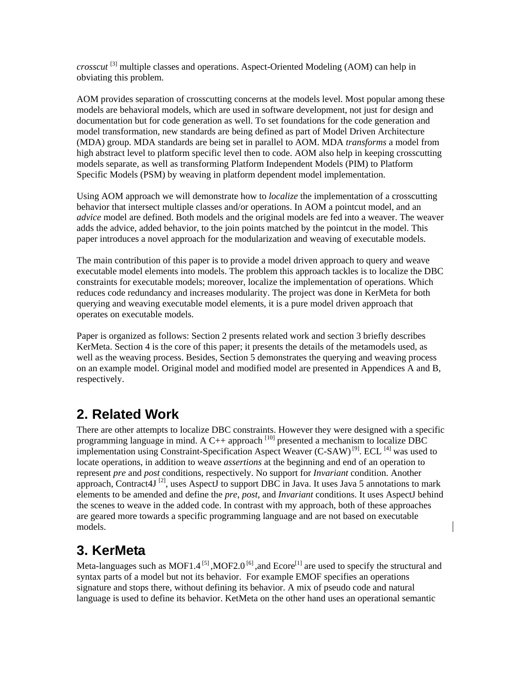*crosscut* [3] multiple classes and operations. Aspect-Oriented Modeling (AOM) can help in obviating this problem.

AOM provides separation of crosscutting concerns at the models level. Most popular among these models are behavioral models, which are used in software development, not just for design and documentation but for code generation as well. To set foundations for the code generation and model transformation, new standards are being defined as part of Model Driven Architecture (MDA) group. MDA standards are being set in parallel to AOM. MDA *transforms* a model from high abstract level to platform specific level then to code. AOM also help in keeping crosscutting models separate, as well as transforming Platform Independent Models (PIM) to Platform Specific Models (PSM) by weaving in platform dependent model implementation.

Using AOM approach we will demonstrate how to *localize* the implementation of a crosscutting behavior that intersect multiple classes and/or operations. In AOM a pointcut model, and an *advice* model are defined. Both models and the original models are fed into a weaver. The weaver adds the advice, added behavior, to the join points matched by the pointcut in the model. This paper introduces a novel approach for the modularization and weaving of executable models.

The main contribution of this paper is to provide a model driven approach to query and weave executable model elements into models. The problem this approach tackles is to localize the DBC constraints for executable models; moreover, localize the implementation of operations. Which reduces code redundancy and increases modularity. The project was done in KerMeta for both querying and weaving executable model elements, it is a pure model driven approach that operates on executable models.

Paper is organized as follows: Section 2 presents related work and section 3 briefly describes KerMeta. Section 4 is the core of this paper; it presents the details of the metamodels used, as well as the weaving process. Besides, Section 5 demonstrates the querying and weaving process on an example model. Original model and modified model are presented in Appendices A and B, respectively.

### **2. Related Work**

There are other attempts to localize DBC constraints. However they were designed with a specific programming language in mind. A C++ approach  $^{[10]}$  presented a mechanism to localize DBC implementation using Constraint-Specification Aspect Weaver (C-SAW)<sup>[9]</sup>. ECL<sup>[4]</sup> was used to locate operations, in addition to weave *assertions* at the beginning and end of an operation to represent *pre* and *post* conditions, respectively. No support for *Invariant* condition. Another approach, Contract 4J<sup>[2]</sup>, uses AspectJ to support DBC in Java. It uses Java 5 annotations to mark elements to be amended and define the *pre*, *post*, and *Invariant* conditions. It uses AspectJ behind the scenes to weave in the added code. In contrast with my approach, both of these approaches are geared more towards a specific programming language and are not based on executable models.

### **3. KerMeta**

Meta-languages such as MOF1.4<sup>[5]</sup>, MOF2.0<sup>[6]</sup>, and Ecore<sup>[1]</sup> are used to specify the structural and syntax parts of a model but not its behavior. For example EMOF specifies an operations signature and stops there, without defining its behavior. A mix of pseudo code and natural language is used to define its behavior. KetMeta on the other hand uses an operational semantic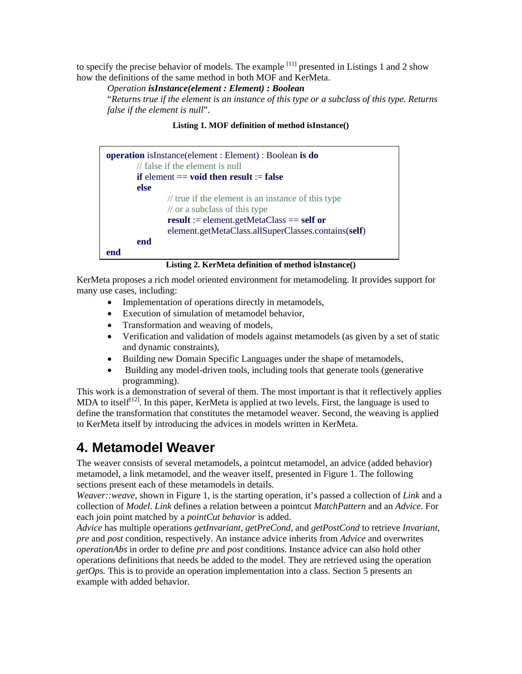to specify the precise behavior of models. The example  $[11]$  presented in Listings 1 and 2 show how the definitions of the same method in both MOF and KerMeta.

*Operation isInstance(element : Element) : Boolean* 

"*Returns true if the element is an instance of this type or a subclass of this type. Returns false if the element is null*".

#### **Listing 1. MOF definition of method isInstance()**

| <b>operation</b> is Instance (element : Element) : Boolean is do<br>$\frac{1}{1}$ false if the element is null |  |
|----------------------------------------------------------------------------------------------------------------|--|
| if element $==$ void then result $:=$ false                                                                    |  |
| else                                                                                                           |  |
| // true if the element is an instance of this type                                                             |  |
| $\frac{1}{2}$ or a subclass of this type                                                                       |  |
| $result := element.getMetaClass == self or$                                                                    |  |
| element.getMetaClass.allSuperClasses.contains(self)                                                            |  |
| end                                                                                                            |  |
| end                                                                                                            |  |

#### **Listing 2. KerMeta definition of method isInstance()**

KerMeta proposes a rich model oriented environment for metamodeling. It provides support for many use cases, including:

- Implementation of operations directly in metamodels,
- Execution of simulation of metamodel behavior,
- Transformation and weaving of models,
- Verification and validation of models against metamodels (as given by a set of static and dynamic constraints),
- Building new Domain Specific Languages under the shape of metamodels,
- Building any model-driven tools, including tools that generate tools (generative programming).

This work is a demonstration of several of them. The most important is that it reflectively applies MDA to itself<sup>[12]</sup>. In this paper, KerMeta is applied at two levels. First, the language is used to define the transformation that constitutes the metamodel weaver. Second, the weaving is applied to KerMeta itself by introducing the advices in models written in KerMeta.

### **4. Metamodel Weaver**

The weaver consists of several metamodels, a pointcut metamodel, an advice (added behavior) metamodel, a link metamodel, and the weaver itself, presented in Figure 1. The following sections present each of these metamodels in details.

*Weaver::weave*, shown in Figure 1, is the starting operation, it's passed a collection of *Link* and a collection of *Model*. *Link* defines a relation between a pointcut *MatchPattern* and an *Advice*. For each join point matched by a *pointCut behavior* is added.

*Advice* has multiple operations *getInvariant, getPreCond,* and *getPostCond* to retrieve *Invariant*, *pre* and *post* condition, respectively. An instance advice inherits from *Advice* and overwrites *operationAbs* in order to define *pre* and *post* conditions. Instance advice can also hold other operations definitions that needs be added to the model. They are retrieved using the operation *getOps.* This is to provide an operation implementation into a class. Section 5 presents an example with added behavior.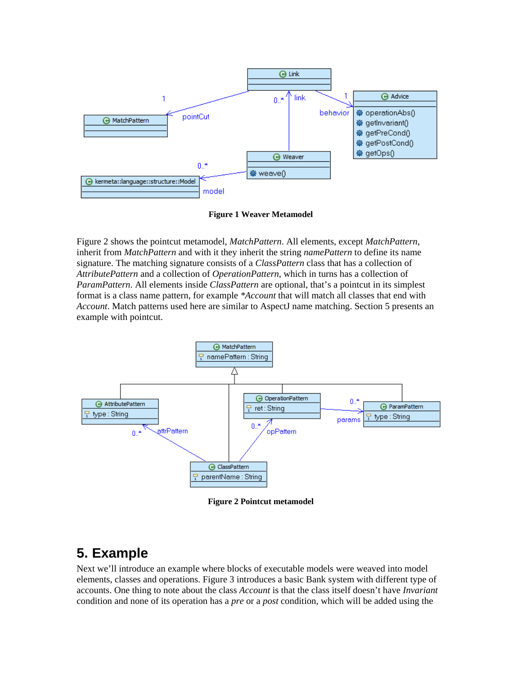

**Figure 1 Weaver Metamodel** 

Figure 2 shows the pointcut metamodel, *MatchPattern*. All elements, except *MatchPattern*, inherit from *MatchPattern* and with it they inherit the string *namePattern* to define its name signature. The matching signature consists of a *ClassPattern* class that has a collection of *AttributePattern* and a collection of *OperationPattern*, which in turns has a collection of *ParamPattern*. All elements inside *ClassPattern* are optional, that's a pointcut in its simplest format is a class name pattern, for example *\*Account* that will match all classes that end with *Account*. Match patterns used here are similar to AspectJ name matching. Section 5 presents an example with pointcut.



**Figure 2 Pointcut metamodel** 

### **5. Example**

Next we'll introduce an example where blocks of executable models were weaved into model elements, classes and operations. Figure 3 introduces a basic Bank system with different type of accounts. One thing to note about the class *Account* is that the class itself doesn't have *Invariant* condition and none of its operation has a *pre* or a *post* condition, which will be added using the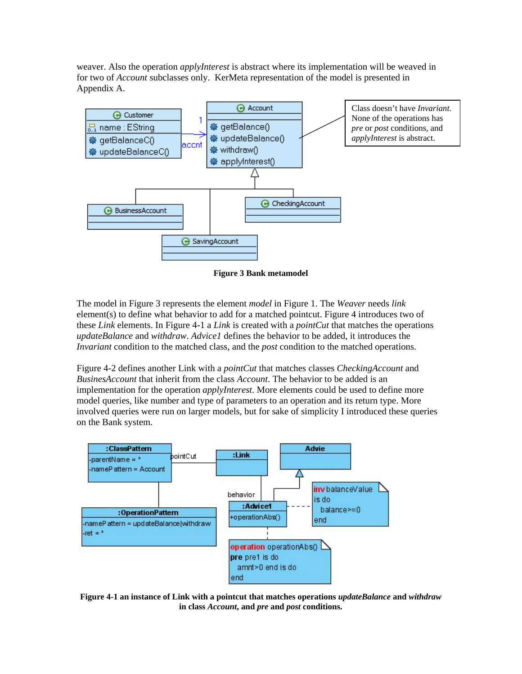weaver. Also the operation *applyInterest* is abstract where its implementation will be weaved in for two of *Account* subclasses only. KerMeta representation of the model is presented in Appendix A.



**Figure 3 Bank metamodel** 

The model in Figure 3 represents the element *model* in Figure 1. The *Weaver* needs *link*  element(s) to define what behavior to add for a matched pointcut. Figure 4 introduces two of these *Link* elements. In Figure 4-1 a *Link* is created with a *pointCut* that matches the operations *updateBalance* and *withdraw*. *Advice1* defines the behavior to be added, it introduces the *Invariant* condition to the matched class, and the *post* condition to the matched operations.

Figure 4-2 defines another Link with a *pointCut* that matches classes *CheckingAccount* and *BusinesAccount* that inherit from the class *Account*. The behavior to be added is an implementation for the operation *applyInterest*. More elements could be used to define more model queries, like number and type of parameters to an operation and its return type. More involved queries were run on larger models, but for sake of simplicity I introduced these queries on the Bank system.



**Figure 4-1 an instance of Link with a pointcut that matches operations** *updateBalance* **and** *withdraw* **in class** *Account***, and** *pre* **and** *post* **conditions.**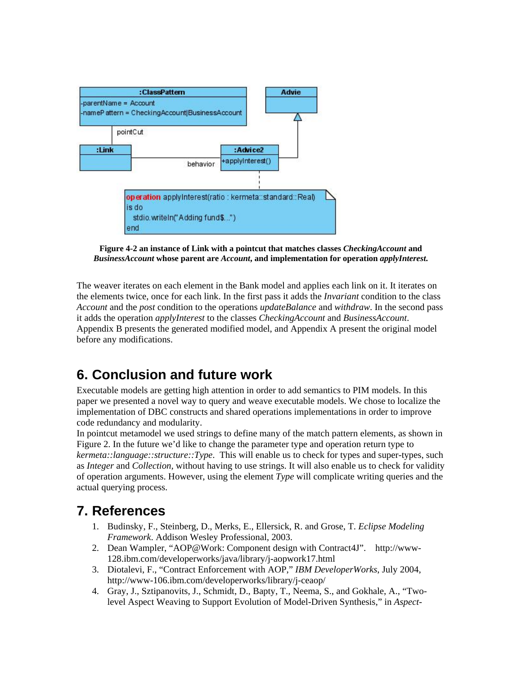

**Figure 4-2 an instance of Link with a pointcut that matches classes** *CheckingAccount* **and**  *BusinessAccount* **whose parent are** *Account***, and implementation for operation** *applyInterest***.** 

The weaver iterates on each element in the Bank model and applies each link on it. It iterates on the elements twice, once for each link. In the first pass it adds the *Invariant* condition to the class *Account* and the *post* condition to the operations *updateBalance* and *withdraw*. In the second pass it adds the operation *applyInterest* to the classes *CheckingAccount* and *BusinessAccount*. Appendix B presents the generated modified model, and Appendix A present the original model before any modifications.

### **6. Conclusion and future work**

Executable models are getting high attention in order to add semantics to PIM models. In this paper we presented a novel way to query and weave executable models. We chose to localize the implementation of DBC constructs and shared operations implementations in order to improve code redundancy and modularity.

In pointcut metamodel we used strings to define many of the match pattern elements, as shown in Figure 2. In the future we'd like to change the parameter type and operation return type to *kermeta::language::structure::Type*. This will enable us to check for types and super-types, such as *Integer* and *Collection,* without having to use strings. It will also enable us to check for validity of operation arguments. However, using the element *Type* will complicate writing queries and the actual querying process.

### **7. References**

- 1. Budinsky, F., Steinberg, D., Merks, E., Ellersick, R. and Grose, T. *Eclipse Modeling Framework*. Addison Wesley Professional, 2003.
- 2. Dean Wampler, "AOP@Work: Component design with Contract4J". http://www-128.ibm.com/developerworks/java/library/j-aopwork17.html
- 3. Diotalevi, F., "Contract Enforcement with AOP," *IBM DeveloperWorks*, July 2004, http://www-106.ibm.com/developerworks/library/j-ceaop/
- 4. Gray, J., Sztipanovits, J., Schmidt, D., Bapty, T., Neema, S., and Gokhale, A., "Twolevel Aspect Weaving to Support Evolution of Model-Driven Synthesis," in *Aspect-*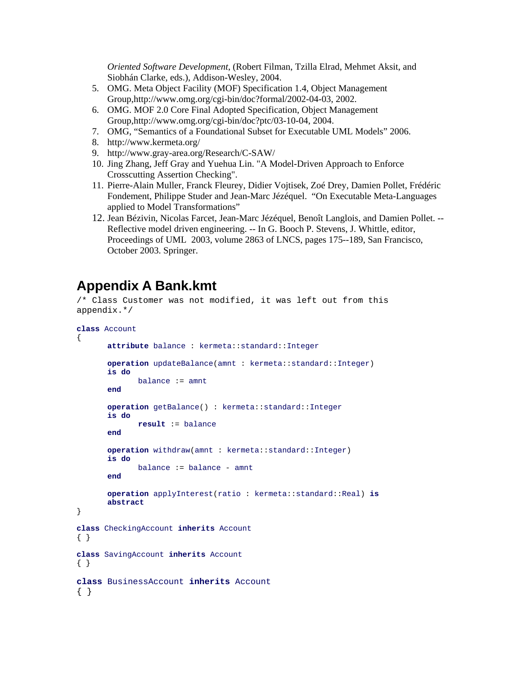*Oriented Software Development*, (Robert Filman, Tzilla Elrad, Mehmet Aksit, and Siobhán Clarke, eds.), Addison-Wesley, 2004.

- 5. OMG. Meta Object Facility (MOF) Specification 1.4, Object Management Group,http://www.omg.org/cgi-bin/doc?formal/2002-04-03, 2002.
- 6. OMG. MOF 2.0 Core Final Adopted Specification, Object Management Group,http://www.omg.org/cgi-bin/doc?ptc/03-10-04, 2004.
- 7. OMG, "Semantics of a Foundational Subset for Executable UML Models" 2006.
- 8. http://www.kermeta.org/
- 9. http://www.gray-area.org/Research/C-SAW/
- 10. Jing Zhang, Jeff Gray and Yuehua Lin. "A Model-Driven Approach to Enforce Crosscutting Assertion Checking".
- 11. Pierre-Alain Muller, Franck Fleurey, Didier Vojtisek, Zoé Drey, Damien Pollet, Frédéric Fondement, Philippe Studer and Jean-Marc Jézéquel. "On Executable Meta-Languages applied to Model Transformations"
- 12. Jean Bézivin, Nicolas Farcet, Jean-Marc Jézéquel, Benoît Langlois, and Damien Pollet. -- Reflective model driven engineering. -- In G. Booch P. Stevens, J. Whittle, editor, Proceedings of UML 2003, volume 2863 of LNCS, pages 175--189, San Francisco, October 2003. Springer.

### **Appendix A Bank.kmt**

/\* Class Customer was not modified, it was left out from this appendix.\*/

```
class Account
\{attribute balance : kermeta::standard::Integer
       operation updateBalance(amnt : kermeta::standard::Integer) 
        is do
              balance := amnt
        end
        operation getBalance() : kermeta::standard::Integer
        is do
              result := balance 
        end
        operation withdraw(amnt : kermeta::standard::Integer) 
        is do
              balance := balance - amnt
        end
        operation applyInterest(ratio : kermeta::standard::Real) is 
       abstract
} 
class CheckingAccount inherits Account
{ } 
class SavingAccount inherits Account
{ }
class BusinessAccount inherits Account
{ }
```